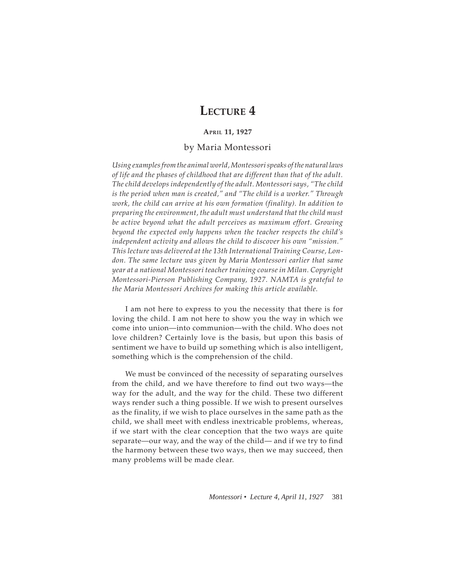## **LECTURE 4**

## **APRIL 11, 1927**

## by Maria Montessori

*Using examples from the animal world, Montessori speaks of the natural laws of life and the phases of childhood that are different than that of the adult. The child develops independently of the adult. Montessori says, "The child is the period when man is created," and "The child is a worker." Through work, the child can arrive at his own formation (finality). In addition to preparing the environment, the adult must understand that the child must be active beyond what the adult perceives as maximum effort. Growing beyond the expected only happens when the teacher respects the child's independent activity and allows the child to discover his own "mission." This lecture was delivered at the 13th International Training Course, London. The same lecture was given by Maria Montessori earlier that same year at a national Montessori teacher training course in Milan. Copyright Montessori-Pierson Publishing Company, 1927. NAMTA is grateful to the Maria Montessori Archives for making this article available.*

I am not here to express to you the necessity that there is for loving the child. I am not here to show you the way in which we come into union—into communion—with the child. Who does not love children? Certainly love is the basis, but upon this basis of sentiment we have to build up something which is also intelligent, something which is the comprehension of the child.

We must be convinced of the necessity of separating ourselves from the child, and we have therefore to find out two ways—the way for the adult, and the way for the child. These two different ways render such a thing possible. If we wish to present ourselves as the finality, if we wish to place ourselves in the same path as the child, we shall meet with endless inextricable problems, whereas, if we start with the clear conception that the two ways are quite separate—our way, and the way of the child— and if we try to find the harmony between these two ways, then we may succeed, then many problems will be made clear.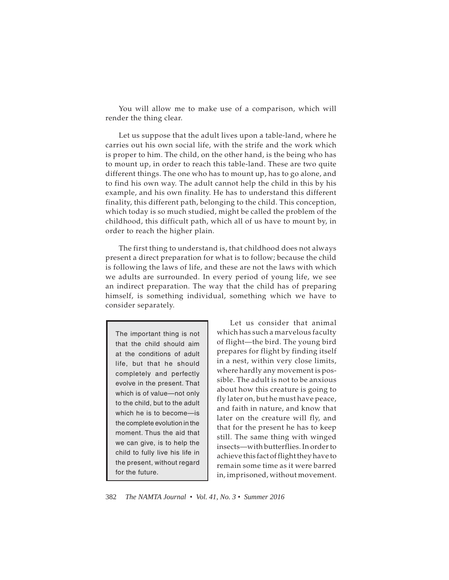You will allow me to make use of a comparison, which will render the thing clear.

Let us suppose that the adult lives upon a table-land, where he carries out his own social life, with the strife and the work which is proper to him. The child, on the other hand, is the being who has to mount up, in order to reach this table-land. These are two quite different things. The one who has to mount up, has to go alone, and to find his own way. The adult cannot help the child in this by his example, and his own finality. He has to understand this different finality, this different path, belonging to the child. This conception, which today is so much studied, might be called the problem of the childhood, this difficult path, which all of us have to mount by, in order to reach the higher plain.

The first thing to understand is, that childhood does not always present a direct preparation for what is to follow; because the child is following the laws of life, and these are not the laws with which we adults are surrounded. In every period of young life, we see an indirect preparation. The way that the child has of preparing himself, is something individual, something which we have to consider separately.

The important thing is not that the child should aim at the conditions of adult life, but that he should completely and perfectly evolve in the present. That which is of value—not only to the child, but to the adult which he is to become—is the complete evolution in the moment. Thus the aid that we can give, is to help the child to fully live his life in the present, without regard for the future.

Let us consider that animal which has such a marvelous faculty of flight—the bird. The young bird prepares for flight by finding itself in a nest, within very close limits, where hardly any movement is possible. The adult is not to be anxious about how this creature is going to fly later on, but he must have peace, and faith in nature, and know that later on the creature will fly, and that for the present he has to keep still. The same thing with winged insects—with butterflies. In order to achieve this fact of flight they have to remain some time as it were barred in, imprisoned, without movement.

382 *The NAMTA Journal • Vol. 41, No. 3 • Summer 2016*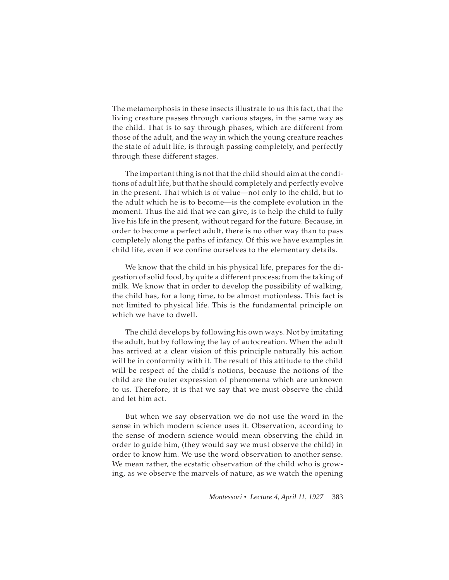The metamorphosis in these insects illustrate to us this fact, that the living creature passes through various stages, in the same way as the child. That is to say through phases, which are different from those of the adult, and the way in which the young creature reaches the state of adult life, is through passing completely, and perfectly through these different stages.

The important thing is not that the child should aim at the conditions of adult life, but that he should completely and perfectly evolve in the present. That which is of value—not only to the child, but to the adult which he is to become—is the complete evolution in the moment. Thus the aid that we can give, is to help the child to fully live his life in the present, without regard for the future. Because, in order to become a perfect adult, there is no other way than to pass completely along the paths of infancy. Of this we have examples in child life, even if we confine ourselves to the elementary details.

We know that the child in his physical life, prepares for the digestion of solid food, by quite a different process; from the taking of milk. We know that in order to develop the possibility of walking, the child has, for a long time, to be almost motionless. This fact is not limited to physical life. This is the fundamental principle on which we have to dwell.

The child develops by following his own ways. Not by imitating the adult, but by following the lay of autocreation. When the adult has arrived at a clear vision of this principle naturally his action will be in conformity with it. The result of this attitude to the child will be respect of the child's notions, because the notions of the child are the outer expression of phenomena which are unknown to us. Therefore, it is that we say that we must observe the child and let him act.

But when we say observation we do not use the word in the sense in which modern science uses it. Observation, according to the sense of modern science would mean observing the child in order to guide him, (they would say we must observe the child) in order to know him. We use the word observation to another sense. We mean rather, the ecstatic observation of the child who is growing, as we observe the marvels of nature, as we watch the opening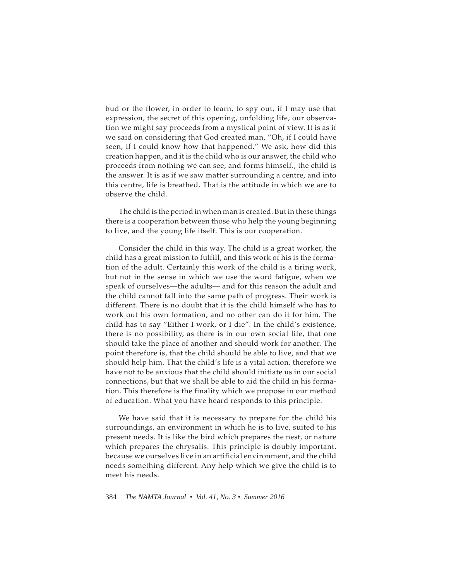bud or the flower, in order to learn, to spy out, if I may use that expression, the secret of this opening, unfolding life, our observation we might say proceeds from a mystical point of view. It is as if we said on considering that God created man, "Oh, if I could have seen, if I could know how that happened." We ask, how did this creation happen, and it is the child who is our answer, the child who proceeds from nothing we can see, and forms himself., the child is the answer. It is as if we saw matter surrounding a centre, and into this centre, life is breathed. That is the attitude in which we are to observe the child.

The child is the period in when man is created. But in these things there is a cooperation between those who help the young beginning to live, and the young life itself. This is our cooperation.

Consider the child in this way. The child is a great worker, the child has a great mission to fulfill, and this work of his is the formation of the adult. Certainly this work of the child is a tiring work, but not in the sense in which we use the word fatigue, when we speak of ourselves—the adults— and for this reason the adult and the child cannot fall into the same path of progress. Their work is different. There is no doubt that it is the child himself who has to work out his own formation, and no other can do it for him. The child has to say "Either I work, or I die". In the child's existence, there is no possibility, as there is in our own social life, that one should take the place of another and should work for another. The point therefore is, that the child should be able to live, and that we should help him. That the child's life is a vital action, therefore we have not to be anxious that the child should initiate us in our social connections, but that we shall be able to aid the child in his formation. This therefore is the finality which we propose in our method of education. What you have heard responds to this principle.

We have said that it is necessary to prepare for the child his surroundings, an environment in which he is to live, suited to his present needs. It is like the bird which prepares the nest, or nature which prepares the chrysalis. This principle is doubly important, because we ourselves live in an artificial environment, and the child needs something different. Any help which we give the child is to meet his needs.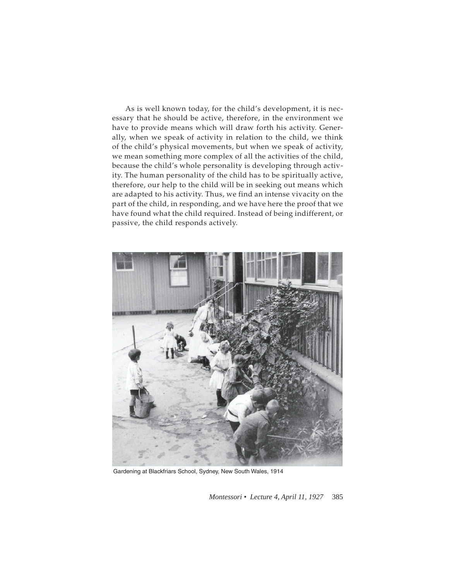As is well known today, for the child's development, it is necessary that he should be active, therefore, in the environment we have to provide means which will draw forth his activity. Generally, when we speak of activity in relation to the child, we think of the child's physical movements, but when we speak of activity, we mean something more complex of all the activities of the child, because the child's whole personality is developing through activity. The human personality of the child has to be spiritually active, therefore, our help to the child will be in seeking out means which are adapted to his activity. Thus, we find an intense vivacity on the part of the child, in responding, and we have here the proof that we have found what the child required. Instead of being indifferent, or passive, the child responds actively.



Gardening at Blackfriars School, Sydney, New South Wales, 1914

*Montessori • Lecture 4, April 11, 1927* 385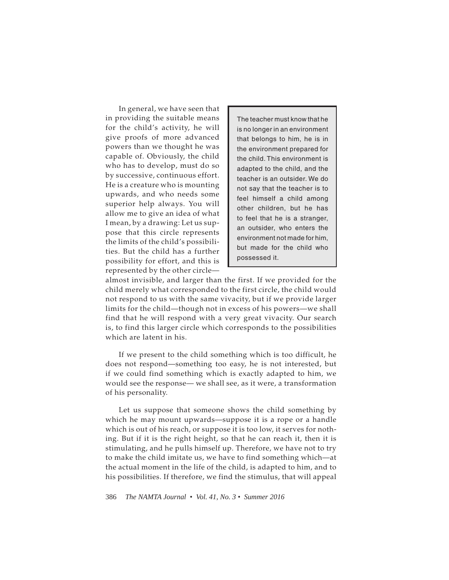In general, we have seen that in providing the suitable means for the child's activity, he will give proofs of more advanced powers than we thought he was capable of. Obviously, the child who has to develop, must do so by successive, continuous effort. He is a creature who is mounting upwards, and who needs some superior help always. You will allow me to give an idea of what I mean, by a drawing: Let us suppose that this circle represents the limits of the child's possibilities. But the child has a further possibility for effort, and this is represented by the other circle—

The teacher must know that he is no longer in an environment that belongs to him, he is in the environment prepared for the child. This environment is adapted to the child, and the teacher is an outsider. We do not say that the teacher is to feel himself a child among other children, but he has to feel that he is a stranger, an outsider, who enters the environment not made for him, but made for the child who possessed it.

almost invisible, and larger than the first. If we provided for the child merely what corresponded to the first circle, the child would not respond to us with the same vivacity, but if we provide larger limits for the child—though not in excess of his powers—we shall find that he will respond with a very great vivacity. Our search is, to find this larger circle which corresponds to the possibilities which are latent in his.

If we present to the child something which is too difficult, he does not respond—something too easy, he is not interested, but if we could find something which is exactly adapted to him, we would see the response— we shall see, as it were, a transformation of his personality.

Let us suppose that someone shows the child something by which he may mount upwards—suppose it is a rope or a handle which is out of his reach, or suppose it is too low, it serves for nothing. But if it is the right height, so that he can reach it, then it is stimulating, and he pulls himself up. Therefore, we have not to try to make the child imitate us, we have to find something which—at the actual moment in the life of the child, is adapted to him, and to his possibilities. If therefore, we find the stimulus, that will appeal

386 *The NAMTA Journal • Vol. 41, No. 3 • Summer 2016*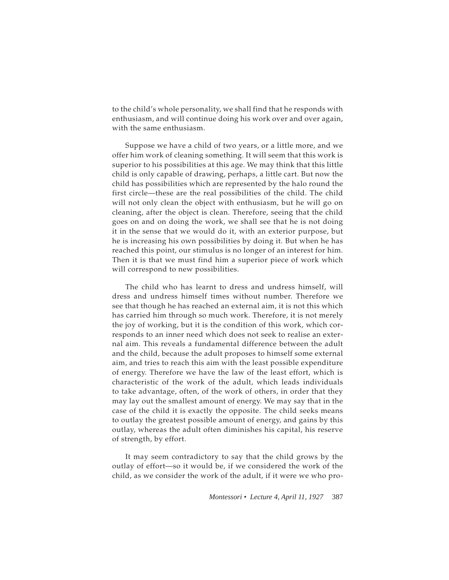to the child's whole personality, we shall find that he responds with enthusiasm, and will continue doing his work over and over again, with the same enthusiasm.

Suppose we have a child of two years, or a little more, and we offer him work of cleaning something. It will seem that this work is superior to his possibilities at this age. We may think that this little child is only capable of drawing, perhaps, a little cart. But now the child has possibilities which are represented by the halo round the first circle—these are the real possibilities of the child. The child will not only clean the object with enthusiasm, but he will go on cleaning, after the object is clean. Therefore, seeing that the child goes on and on doing the work, we shall see that he is not doing it in the sense that we would do it, with an exterior purpose, but he is increasing his own possibilities by doing it. But when he has reached this point, our stimulus is no longer of an interest for him. Then it is that we must find him a superior piece of work which will correspond to new possibilities.

The child who has learnt to dress and undress himself, will dress and undress himself times without number. Therefore we see that though he has reached an external aim, it is not this which has carried him through so much work. Therefore, it is not merely the joy of working, but it is the condition of this work, which corresponds to an inner need which does not seek to realise an external aim. This reveals a fundamental difference between the adult and the child, because the adult proposes to himself some external aim, and tries to reach this aim with the least possible expenditure of energy. Therefore we have the law of the least effort, which is characteristic of the work of the adult, which leads individuals to take advantage, often, of the work of others, in order that they may lay out the smallest amount of energy. We may say that in the case of the child it is exactly the opposite. The child seeks means to outlay the greatest possible amount of energy, and gains by this outlay, whereas the adult often diminishes his capital, his reserve of strength, by effort.

It may seem contradictory to say that the child grows by the outlay of effort—so it would be, if we considered the work of the child, as we consider the work of the adult, if it were we who pro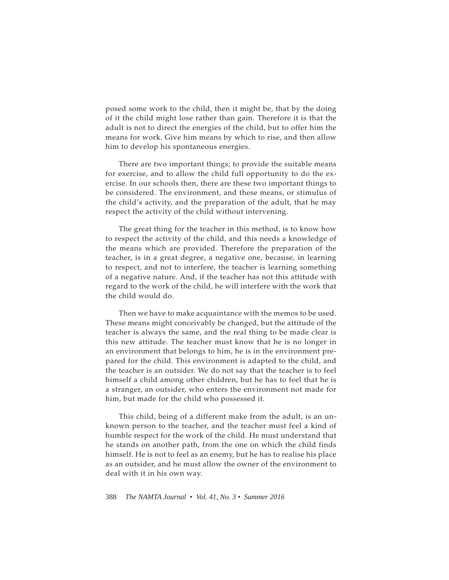posed some work to the child, then it might be, that by the doing of it the child might lose rather than gain. Therefore it is that the adult is not to direct the energies of the child, but to offer him the means for work. Give him means by which to rise, and then allow him to develop his spontaneous energies.

There are two important things; to provide the suitable means for exercise, and to allow the child full opportunity to do the exercise. In our schools then, there are these two important things to be considered. The environment, and these means, or stimulus of the child's activity, and the preparation of the adult, that he may respect the activity of the child without intervening.

The great thing for the teacher in this method, is to know how to respect the activity of the child, and this needs a knowledge of the means which are provided. Therefore the preparation of the teacher, is in a great degree, a negative one, because, in learning to respect, and not to interfere, the teacher is learning something of a negative nature. And, if the teacher has not this attitude with regard to the work of the child, he will interfere with the work that the child would do.

Then we have to make acquaintance with the memos to be used. These means might conceivably be changed, but the attitude of the teacher is always the same, and the real thing to be made clear is this new attitude. The teacher must know that he is no longer in an environment that belongs to him, he is in the environment prepared for the child. This environment is adapted to the child, and the teacher is an outsider. We do not say that the teacher is to feel himself a child among other children, but he has to feel that he is a stranger, an outsider, who enters the environment not made for him, but made for the child who possessed it.

This child, being of a different make from the adult, is an unknown person to the teacher, and the teacher must feel a kind of humble respect for the work of the child. He must understand that he stands on another path, from the one on which the child finds himself. He is not to feel as an enemy, but he has to realise his place as an outsider, and he must allow the owner of the environment to deal with it in his own way.

## 388 *The NAMTA Journal • Vol. 41, No. 3 • Summer 2016*